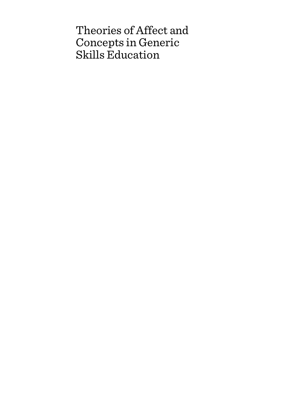# Theories of Affect and Concepts in Generic Skills Education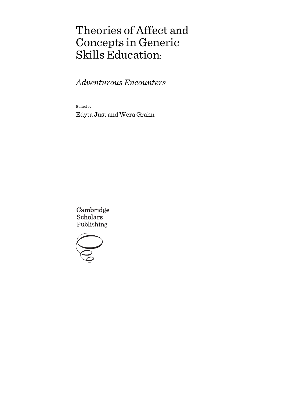# Theories of Affect and Concepts in Generic Skills Education:

*Adventurous Encounters*

Edited by

Edyta Just and Wera Grahn

Cambridge **Scholars** Publishing

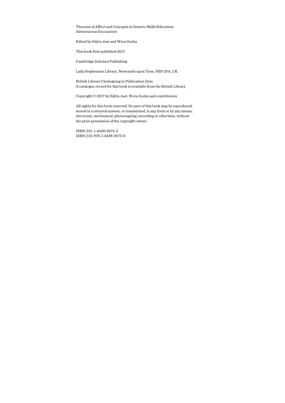Theories of Affect and Concepts in Generic Skills Education: Adventurous Encounters

Edited by Edyta Just and Wera Grahn

This book first published 2017

Cambridge Scholars Publishing

Lady Stephenson Library, Newcastle upon Tyne, NE6 2PA, UK

British Library Cataloguing in Publication Data A catalogue record for this book is available from the British Library

Copyright © 2017 by Edyta Just, Wera Grahn and contributors

All rights for this book reserved. No part of this book may be reproduced, stored in a retrieval system, or transmitted, in any form or by any means, electronic, mechanical, photocopying, recording or otherwise, without the prior permission of the copyright owner.

ISBN (10): 1-4438-9573-3 ISBN (13): 978-1-4438-9573-6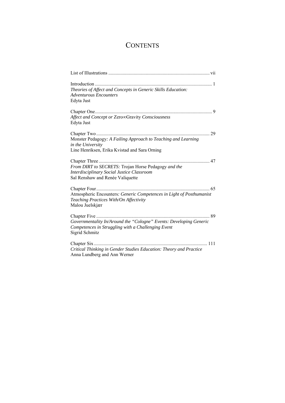# **CONTENTS**

| Theories of Affect and Concepts in Generic Skills Education:<br>Adventurous Encounters<br>Edyta Just                                       |
|--------------------------------------------------------------------------------------------------------------------------------------------|
| Affect and Concept or Zero∞Gravity Consciousness<br>Edyta Just                                                                             |
| Monster Pedagogy: A Failing Approach to Teaching and Learning<br>in the University<br>Line Henriksen, Erika Kvistad and Sara Orning        |
| From DIRT to SECRETS: Trojan Horse Pedagogy and the<br>Interdisciplinary Social Justice Classroom<br>Sal Renshaw and Renée Valiquette      |
| Atmospheric Encounters: Generic Competences in Light of Posthumanist<br>Teaching Practices With/On Affectivity<br>Malou Juelskjær          |
| Governmentality In/Around the "Cologne" Events: Developing Generic<br>Competences in Struggling with a Challenging Event<br>Sigrid Schmitz |
| Critical Thinking in Gender Studies Education: Theory and Practice<br>Anna Lundberg and Ann Werner                                         |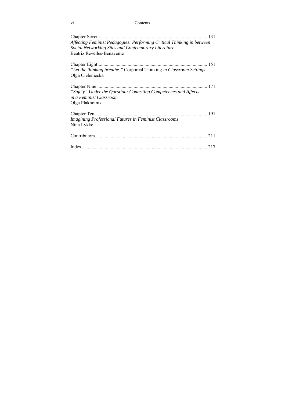#### vi Contents

|                                                                                                                                      | 131 |
|--------------------------------------------------------------------------------------------------------------------------------------|-----|
| Affecting Feminist Pedagogies: Performing Critical Thinking in between<br><b>Social Networking Sites and Contemporary Literature</b> |     |
| <b>Beatriz Revelles-Benavente</b>                                                                                                    |     |
|                                                                                                                                      |     |
| "Let the thinking breathe." Corporeal Thinking in Classroom Settings<br>Olga Cielemęcka                                              |     |
| "Safety" Under the Question: Contesting Competences and Affects                                                                      | 171 |
| in a Feminist Classroom                                                                                                              |     |
| Olga Plakhotnik                                                                                                                      |     |
|                                                                                                                                      |     |
| <b>Imagining Professional Futures in Feminist Classrooms</b><br>Nina Lykke                                                           |     |
|                                                                                                                                      | 211 |
|                                                                                                                                      |     |
|                                                                                                                                      |     |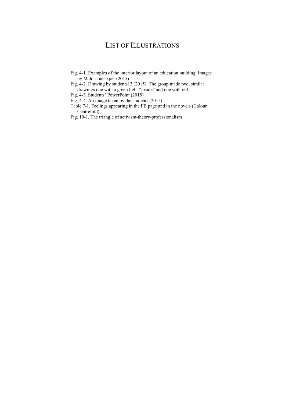## LIST OF ILLUSTRATIONS

- Fig. 4-1. Examples of the interior layout of an education building. Images by Malou Juelskjær (2015)
- Fig. 4-2. Drawing by students13 (2015). The group made two, similar drawings one with a green light "inside" and one with red
- Fig. 4-3. Students' PowerPoint (2015)
- Fig. 4-4. An image taken by the students (2015)
- Table 7-1. Feelings appearing in the FB page and in the novels (Colour Centrefold)
- Fig. 10-1. The triangle of activism-theory-professionalism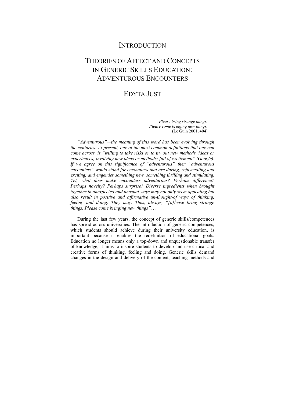## **INTRODUCTION**

# THEORIES OF AFFECT AND CONCEPTS IN GENERIC SKILLS EDUCATION: ADVENTUROUS ENCOUNTERS

## EDYTA JUST

*Please bring strange things. Please come bringing new things.*  (Le Guin 2001, 404)

*"Adventurous"—the meaning of this word has been evolving through the centuries. At present, one of the most common definitions that one can come across, is "willing to take risks or to try out new methods, ideas or experiences; involving new ideas or methods; full of excitement" (Google). If we agree on this significance of "adventurous" then "adventurous encounters" would stand for encounters that are daring, rejuvenating and exciting, and engender something new, something thrilling and stimulating. Yet, what does make encounters adventurous? Perhaps difference? Perhaps novelty? Perhaps surprise? Diverse ingredients when brought together in unexpected and unusual ways may not only seem appealing but also result in positive and affirmative un-thought-of ways of thinking, feeling and doing. They may. Thus, always, "[p]lease bring strange things. Please come bringing new things". . .* 

During the last few years, the concept of generic skills/competences has spread across universities. The introduction of generic competences, which students should achieve during their university education, is important because it enables the redefinition of educational goals. Education no longer means only a top-down and unquestionable transfer of knowledge; it aims to inspire students to develop and use critical and creative forms of thinking, feeling and doing. Generic skills demand changes in the design and delivery of the content, teaching methods and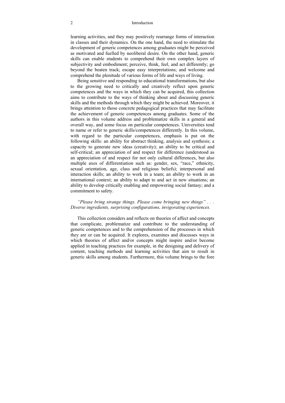#### 2 Introduction

learning activities, and they may positively rearrange forms of interaction in classes and their dynamics. On the one hand, the need to stimulate the development of generic competences among graduates might be perceived as motivated and fuelled by neoliberal desire. On the other hand, generic skills can enable students to comprehend their own complex layers of subjectivity and embodiment; perceive, think, feel, and act differently; go beyond the beaten track; escape easy interpretations; and welcome and comprehend the plenitude of various forms of life and ways of living.

Being sensitive and responding to educational transformations, but also to the growing need to critically and creatively reflect upon generic competences and the ways in which they can be acquired, this collection aims to contribute to the ways of thinking about and discussing generic skills and the methods through which they might be achieved. Moreover, it brings attention to those concrete pedagogical practices that may facilitate the achievement of generic competences among graduates. Some of the authors in this volume address and problematize skills in a general and overall way, and some focus on particular competences. Universities tend to name or refer to generic skills/competences differently. In this volume, with regard to the particular competences, emphasis is put on the following skills: an ability for abstract thinking, analysis and synthesis; a capacity to generate new ideas (creativity); an ability to be critical and self-critical; an appreciation of and respect for difference (understood as an appreciation of and respect for not only cultural differences, but also multiple axes of differentiation such as: gender, sex, "race," ethnicity, sexual orientation, age, class and religious beliefs); interpersonal and interaction skills; an ability to work in a team; an ability to work in an international context; an ability to adapt to and act in new situations; an ability to develop critically enabling and empowering social fantasy; and a commitment to safety.

#### *"Please bring strange things. Please come bringing new things" . . . Diverse ingredients, surprising configurations, invigorating experiences.*

This collection considers and reflects on theories of affect and concepts that complicate, problematize and contribute to the understanding of generic competences and to the comprehension of the processes in which they are or can be acquired. It explores, examines and discusses ways in which theories of affect and/or concepts might inspire and/or become applied in teaching practices for example, in the designing and delivery of content, teaching methods and learning activities that aim to result in generic skills among students. Furthermore, this volume brings to the fore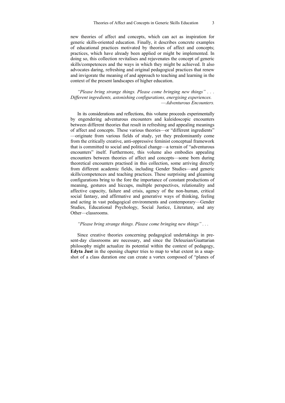new theories of affect and concepts, which can act as inspiration for generic skills-oriented education. Finally, it describes concrete examples of educational practices motivated by theories of affect and concepts; practices, which have already been applied or might be implemented. In doing so, this collection revitalises and rejuvenates the concept of generic skills/competences and the ways in which they might be achieved. It also advocates daring, refreshing and original pedagogical practices that renew and invigorate the meaning of and approach to teaching and learning in the context of the present landscapes of higher education.

*"Please bring strange things. Please come bringing new things" . . . Different ingredients, astonishing configurations, energising experiences.*  —*Adventurous Encounters.* 

In its considerations and reflections, this volume proceeds experimentally by engendering adventurous encounters and kaleidoscopic encounters between different theories that result in refreshing and appealing meanings of affect and concepts. These various theories—or "different ingredients" —originate from various fields of study, yet they predominantly come from the critically creative, anti-oppressive feminist conceptual framework that is committed to social and political change—a terrain of "adventurous encounters" itself. Furthermore, this volume also embodies appealing encounters between theories of affect and concepts—some born during theoretical encounters practised in this collection, some arriving directly from different academic fields, including Gender Studies—and generic skills/competences and teaching practices. These surprising and gleaming configurations bring to the fore the importance of constant productions of meaning, gestures and hiccups, multiple perspectives, relationality and affective capacity, failure and crisis, agency of the non-human, critical social fantasy, and affirmative and generative ways of thinking, feeling and acting in vast pedagogical environments and contemporary—Gender Studies, Educational Psychology, Social Justice, Literature, and any Other—classrooms.

#### *"Please bring strange things. Please come bringing new things" . . .*

Since creative theories concerning pedagogical undertakings in present-day classrooms are necessary, and since the Deleuzian/Guattarian philosophy might actualize its potential within the context of pedagogy, **Edyta Just** in the opening chapter tries to map to what extent in a snapshot of a class duration one can create a vortex composed of "planes of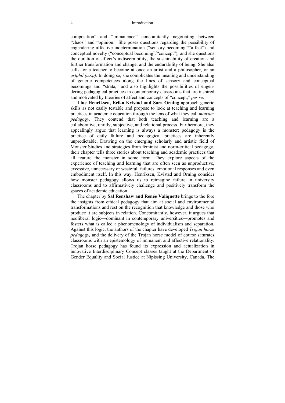#### 4 Introduction

composition" and "immanence" concomitantly negotiating between "chaos" and "opinion." She poses questions regarding the possibility of engendering affective indetermination ("sensory becoming"/"affect") and conceptual novelty ("conceptual becoming"/"concept"), and she questions the duration of affect's indiscernibility, the sustainability of creation and further transformation and change, and the endurability of being. She also calls for a teacher to become at once an artist and a philosopher, or an *artphil*  $(a \infty p)$ . In doing so, she complicates the meaning and understanding of generic competences along the lines of sensory and conceptual becomings and "strata," and also highlights the possibilities of engendering pedagogical practices in contemporary classrooms that are inspired and motivated by theories of affect and concepts of "concept," *per se*.

**Line Henriksen, Erika Kvistad and Sara Orning** approach generic skills as not easily testable and propose to look at teaching and learning practices in academic education through the lens of what they call *monster pedagogy*. They contend that both teaching and learning are a collaborative, unruly, subjective, and relational process. Furthermore, they appealingly argue that learning is always a monster; pedagogy is the practice of daily failure and pedagogical practices are inherently unpredictable. Drawing on the emerging scholarly and artistic field of Monster Studies and strategies from feminist and norm-critical pedagogy, their chapter tells three stories about teaching and academic practices that all feature the monster in some form. They explore aspects of the experience of teaching and learning that are often seen as unproductive, excessive, unnecessary or wasteful: failures, emotional responses and even embodiment itself. In this way, Henriksen, Kvistad and Orning consider how monster pedagogy allows us to reimagine failure in university classrooms and to affirmatively challenge and positively transform the spaces of academic education.

The chapter by **Sal Renshaw and Renée Valiquette** brings to the fore the insights from ethical pedagogy that aim at social and environmental transformations and rest on the recognition that knowledge and those who produce it are subjects in relation. Concomitantly, however, it argues that neoliberal logic—dominant in contemporary universities—promotes and fosters what is called a phenomenology of individualism and separation. Against this logic, the authors of the chapter have developed *Trojan horse pedagogy,* and the delivery of the Trojan horse model of course saturates classrooms with an epistemology of immanent and affective relationality. Trojan horse pedagogy has found its expression and actualization in innovative Interdisciplinary Concept classes taught at the Department of Gender Equality and Social Justice at Nipissing University, Canada. The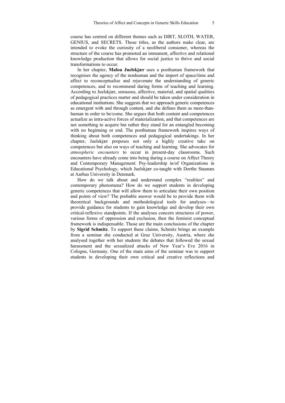course has centred on different themes such as DIRT, SLOTH, WATER, GENIUS, and SECRETS. Those titles, as the authors make clear, are intended to evoke the curiosity of a neoliberal consumer, whereas the structure of the course has promoted an immanent, affective and relational knowledge production that allows for social justice to thrive and social transformations to occur.

In her chapter, **Malou Juelskjær** uses a posthuman framework that recognises the agency of the nonhuman and the import of space/time and affect to reconceptualise and rejuvenate the understanding of generic competences, and to recommend daring forms of teaching and learning. According to Juelskjær, sensuous, affective, material, and spatial qualities of pedagogical practices matter and should be taken under consideration in educational institutions. She suggests that we approach generic competences as emergent with and through content, and she defines them as more-thanhuman in order to be/come. She argues that both content and competences actualize as intra-active forces of materialization, and that competences are not something to acquire but rather they stand for an entangled becoming with no beginning or end. The posthuman framework inspires ways of thinking about both competences and pedagogical undertakings. In her chapter, Juelskjær proposes not only a highly creative take on competences but also on ways of teaching and learning. She advocates for *atmospheric encounters* to occur in present-day classrooms. Such encounters have already come into being during a course on Affect Theory and Contemporary Management: Psy-leadership in/of Organizations in Educational Psychology, which Juelskjær co-taught with Dorthe Staunæs at Aarhus University in Denmark.

How do we talk about and understand complex "realities" and contemporary phenomena? How do we support students in developing generic competences that will allow them to articulate their own position and points of view? The probable answer would be to provide them with theoretical backgrounds and methodological tools for analyses—to provide guidance for students to gain knowledge and develop their own critical-reflexive standpoints. If the analyses concern structures of power, various forms of oppression and exclusion, then the feminist conceptual framework is indispensable. Those are the main conclusions of the chapter by **Sigrid Schmitz**. To support these claims, Schmitz brings an example from a seminar she conducted at Graz University, Austria, where she analysed together with her students the debates that followed the sexual harassment and the sexualized attacks of New Year's Eve 2016 in Cologne, Germany. One of the main aims of the seminar was to support students in developing their own critical and creative reflections and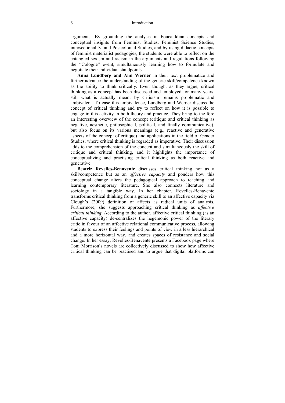arguments. By grounding the analysis in Foucauldian concepts and conceptual insights from Feminist Studies, Feminist Science Studies, intersectionality, and Postcolonial Studies, and by using didactic concepts of feminist materialist pedagogies, the students were able to reflect on the entangled sexism and racism in the arguments and regulations following the "Cologne" event, simultaneously learning how to formulate and negotiate their individual standpoints.

**Anna Lundberg and Ann Werner** in their text problematize and further advance the understanding of the generic skill/competence known as the ability to think critically. Even though, as they argue, critical thinking as a concept has been discussed and employed for many years, still what is actually meant by criticism remains problematic and ambivalent. To ease this ambivalence, Lundberg and Werner discuss the concept of critical thinking and try to reflect on how it is possible to engage in this activity in both theory and practice. They bring to the fore an interesting overview of the concept (critique and critical thinking as negative, aesthetic, philosophical, political, and finally communicative), but also focus on its various meanings (e.g., reactive and generative aspects of the concept of critique) and applications in the field of Gender Studies, where critical thinking is regarded as imperative. Their discussion adds to the comprehension of the concept and simultaneously the skill of critique and critical thinking, and it highlights the importance of conceptualizing and practising critical thinking as both reactive and generative.

**Beatriz Revelles-Benavente** discusses critical thinking not as a skill/competence but as an *affective capacity* and ponders how this conceptual change alters the pedagogical approach to teaching and learning contemporary literature. She also connects literature and sociology in a tangible way. In her chapter, Revelles-Benavente transforms critical thinking from a generic skill to an affective capacity via Clough's (2009) definition of affects as radical units of analysis. Furthermore, she suggests approaching critical thinking as *affective critical thinking*. According to the author, affective critical thinking (as an affective capacity) de-centralizes the hegemonic power of the literary critic in favour of an affective relational communicative process, allowing students to express their feelings and points of view in a less hierarchical and a more horizontal way, and creates spaces of resistance and social change. In her essay, Revelles-Benavente presents a Facebook page where Toni Morrison's novels are collectively discussed to show how affective critical thinking can be practised and to argue that digital platforms can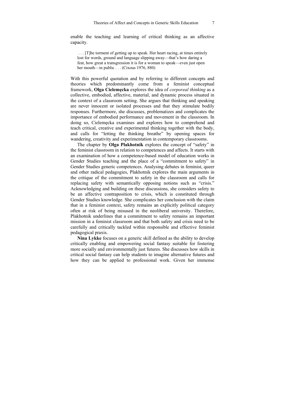. . . [T]he torment of getting up to speak. Her heart racing, at times entirely lost for words, ground and language slipping away—that's how daring a feat, how great a transgression it is for a woman to speak—even just open her mouth—in public . . . (Cixous 1976, 880)

With this powerful quotation and by referring to different concepts and theories which predominantly come from a feminist conceptual framework, **Olga Cielemęcka** explores the idea of *corporeal thinking* as a collective, embodied, affective, material, and dynamic process situated in the context of a classroom setting. She argues that thinking and speaking are never innocent or isolated processes and that they stimulate bodily responses. Furthermore, she discusses, problematizes and complicates the importance of embodied performance and movement in the classroom. In doing so, Cielemęcka examines and explores how to comprehend and teach critical, creative and experimental thinking together with the body, and calls for "letting the thinking breathe" by opening spaces for wandering, creativity and experimentation in contemporary classrooms.

The chapter by **Olga Plakhotnik** explores the concept of "safety" in the feminist classroom in relation to competences and affects. It starts with an examination of how a competence-based model of education works in Gender Studies teaching and the place of a "commitment to safety" in Gender Studies generic competences. Analysing debates in feminist, queer and other radical pedagogies, Plakhotnik explores the main arguments in the critique of the commitment to safety in the classroom and calls for replacing safety with semantically opposing notions such as "crisis." Acknowledging and building on these discussions, she considers safety to be an affective contraposition to crisis, which is constituted through Gender Studies knowledge. She complicates her conclusion with the claim that in a feminist context, safety remains an explicitly political category often at risk of being misused in the neoliberal university. Therefore, Plakhotnik underlines that a commitment to safety remains an important mission in a feminist classroom and that both safety and crisis need to be carefully and critically tackled within responsible and effective feminist pedagogical praxis.

**Nina Lykke** focuses on a generic skill defined as the ability to develop critically enabling and empowering social fantasy suitable for fostering more socially and environmentally just futures. She discusses how skills in critical social fantasy can help students to imagine alternative futures and how they can be applied to professional work. Given her immense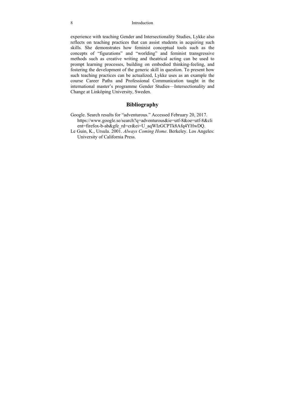experience with teaching Gender and Intersectionality Studies, Lykke also reflects on teaching practices that can assist students in acquiring such skills. She demonstrates how feminist conceptual tools such as the concepts of "figurations" and "worlding" and feminist transgressive methods such as creative writing and theatrical acting can be used to prompt learning processes, building on embodied thinking-feeling, and fostering the development of the generic skill in question. To present how such teaching practices can be actualized, Lykke uses as an example the course Career Paths and Professional Communication taught in the international master's programme Gender Studies—Intersectionality and Change at Linköping University, Sweden.

### **Bibliography**

- Google. Search results for "adventurous." Accessed February 20, 2017. https://www.google.se/search?q=adventurous&ie=utf-8&oe=utf-8&cli ent=firefox-b-ab&gfe\_rd=cr&ei=U\_aqWIzGCPTk8Afq4YHwDQ.
- Le Guin, K., Ursula. 2001. *Always Coming Home*. Berkeley. Los Angeles: University of California Press.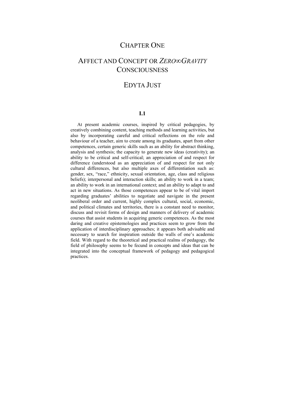## CHAPTER ONE

## AFFECT AND CONCEPT OR *ZERO∞GRAVITY* **CONSCIOUSNESS**

## EDYTA **IUST**

### **I.1**

At present academic courses, inspired by critical pedagogies, by creatively combining content, teaching methods and learning activities, but also by incorporating careful and critical reflections on the role and behaviour of a teacher, aim to create among its graduates, apart from other competences, certain generic skills such as an ability for abstract thinking, analysis and synthesis; the capacity to generate new ideas (creativity); an ability to be critical and self-critical; an appreciation of and respect for difference (understood as an appreciation of and respect for not only cultural differences, but also multiple axes of differentiation such as: gender, sex, "race," ethnicity, sexual orientation, age, class and religious beliefs); interpersonal and interaction skills; an ability to work in a team; an ability to work in an international context; and an ability to adapt to and act in new situations. As those competences appear to be of vital import regarding graduates' abilities to negotiate and navigate in the present neoliberal order and current, highly complex cultural, social, economic, and political climates and territories, there is a constant need to monitor, discuss and revisit forms of design and manners of delivery of academic courses that assist students in acquiring generic competences. As the most daring and creative epistemologies and practices seem to grow from the application of interdisciplinary approaches; it appears both advisable and necessary to search for inspiration outside the walls of one's academic field. With regard to the theoretical and practical realms of pedagogy, the field of philosophy seems to be fecund in concepts and ideas that can be integrated into the conceptual framework of pedagogy and pedagogical practices.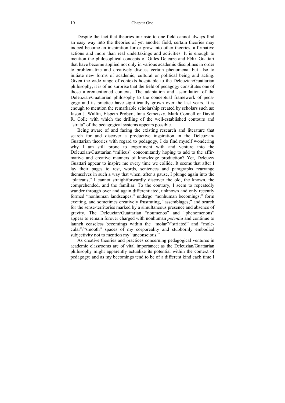Despite the fact that theories intrinsic to one field cannot always find an easy way into the theories of yet another field, certain theories may indeed become an inspiration for or grow into other theories, affirmative actions and more than real undertakings and activities. It is enough to mention the philosophical concepts of Gilles Deleuze and Félix Guattari that have become applied not only in various academic disciplines in order to problematize and creatively discuss certain phenomena, but also to initiate new forms of academic, cultural or political being and acting. Given the wide range of contexts hospitable to the Deleuzian/Guattarian philosophy, it is of no surprise that the field of pedagogy constitutes one of those aforementioned contexts. The adaptation and assimilation of the Deleuzian/Guattarian philosophy to the conceptual framework of pedagogy and its practice have significantly grown over the last years. It is enough to mention the remarkable scholarship created by scholars such as: Jason J. Wallin, Elspeth Probyn, Inna Semetsky, Mark Connell or David R. Colle with which the drilling of the well-established contours and "strata" of the pedagogical systems appears possible.

Being aware of and facing the existing research and literature that search for and discover a productive inspiration in the Deleuzian/ Guattarian theories with regard to pedagogy, I do find myself wondering why I am still prone to experiment with and venture into the Deleuzian/Guattarian "milieus" concomitantly hoping to add to the affirmative and creative manners of knowledge production? Yet, Deleuze/ Guattari appear to inspire me every time we collide. It seems that after I lay their pages to rest, words, sentences and paragraphs rearrange themselves in such a way that when, after a pause, I plunge again into the "plateaus," I cannot straightforwardly discover the old, the known, the comprehended, and the familiar. To the contrary, I seem to repeatedly wander through over and again differentiated, unknown and only recently formed "nonhuman landscapes;" undergo "nonhuman becomings;" form exciting, and sometimes creatively frustrating, "assemblages;" and search for the sense-territories marked by a simultaneous presence and absence of gravity. The Deleuzian/Guattarian "noumenos" and "phenomenons" appear to remain forever charged with nonhuman *potentia* and continue to launch ceaseless becomings within the "molar"/"striated" and "molecular"/"smooth" spaces of my corporeality and stubbornly embodied subjectivity not to mention my "unconscious."

As creative theories and practices concerning pedagogical ventures in academic classrooms are of vital importance; as the Deleuzian/Guattarian philosophy might apparently actualize its potential within the context of pedagogy; and as my becomings tend to be of a different kind each time I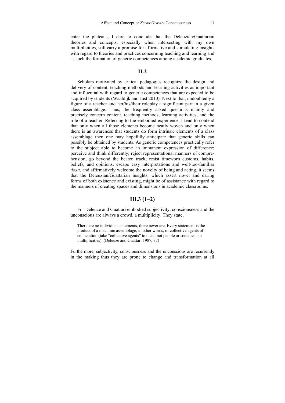enter the plateaus, I dare to conclude that the Deleuzian/Guattarian theories and concepts, especially when intersecting with my own multiplicities, still carry a promise for affirmative and stimulating insights with regard to theories and practices concerning teaching and learning and as such the formation of generic competences among academic graduates.

#### **II.2**

Scholars motivated by critical pedagogies recognize the design and delivery of content, teaching methods and learning activities as important and influential with regard to generic competences that are expected to be acquired by students (Waaldijk and Just 2010). Next to that, undoubtedly a figure of a teacher and her/his/their roleplay a significant part in a given class assemblage. Thus, the frequently asked questions mainly and precisely concern content, teaching methods, learning activities, and the role of a teacher. Referring to the embodied experience, I tend to contend that only when all those elements become neatly woven and only when there is an awareness that students do form intrinsic elements of a class assemblage then one may hopefully anticipate that generic skills can possibly be obtained by students. As generic competences practically refer to the subject able to become an immanent expression of difference; perceive and think differently; reject representational manners of comprehension; go beyond the beaten track; resist timeworn customs, habits, beliefs, and opinions; escape easy interpretations and well-too-familiar *doxa*, and affirmatively welcome the novelty of being and acting, it seems that the Deleuzian/Guattarian insights, which assert novel and daring forms of both existence and existing, might be of assistance with regard to the manners of creating spaces and dimensions in academic classrooms.

## **III.3 (1–2)**

For Deleuze and Guattari embodied subjectivity, consciousness and the unconscious are always a crowd, a multiplicity. They state,

There are no individual statements, there never are. Every statement is the product of a machinic assemblage, in other words, of collective agents of enunciation (take "collective agents" to mean not people or societies but multiplicities). (Deleuze and Guattari 1987, 37)

Furthermore, subjectivity, consciousness and the unconscious are recurrently in the making thus they are prone to change and transformation at all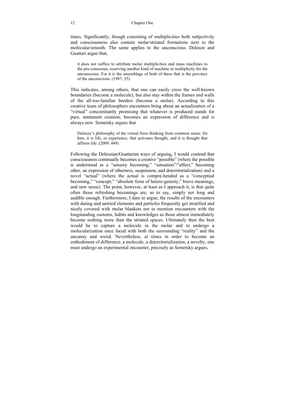#### 12 Chapter One

times. Significantly, though consisting of multiplicities both subjectivity and consciousness also contain molar/striated formations next to the molecular/smooth. The same applies to the unconscious. Deleuze and Guattari argue that,

it does not suffice to attribute molar multiplicities and mass machines to the pre-conscious, reserving another kind of machine or multiplicity for the unconscious. For it is the assemblage of both of these that is the province of the unconscious. (1987, 35)

This indicates, among others, that one can easily cross the well-known boundaries (become a molecule), but also stay within the frames and walls of the all-too-familiar borders (become a molar). According to this creative team of philosophers encounters bring about an actualization of a "virtual" concomitantly promising that whatever is produced stands for pure, immanent creation; becomes an expression of difference and is always new. Semetsky argues that

Deleuze's philosophy of the virtual frees thinking from common sense: for him, it is life, or experience, that activates thought, and it is thought that affirms life. (2009, 449)

Following the Deleuzian/Guattarian ways of arguing, I would contend that consciousness continually becomes a creative "possible" (where the possible is understood as a "sensory becoming," "sensation"/"affect," becoming other, an expression of otherness, suspension, and deterritorialization) and a novel "actual" (where the actual is compre-hended as a "conceptual becoming," "concept," "absolute form of hetero-geneity," brave meanings, and new sense). The point, however, at least as I approach it, is that quite often those refreshing becomings are, so to say, simply not long and audible enough. Furthermore, I dare to argue; the results of the encounters with daring and untried elements and particles frequently get stratified and nicely covered with molar blankets not to mention encounters with the longstanding customs, habits and knowledges as those almost immediately become nothing more than the striated spaces. Ultimately then the best would be to capture a molecule in the molar and to undergo a molecularization once faced with both the surrounding "reality" and the uncanny and weird. Nevertheless, at times in order to become an embodiment of difference, a molecule, a deterritorialization, a novelty, one must undergo an experimental encounter, precisely as Semetsky argues,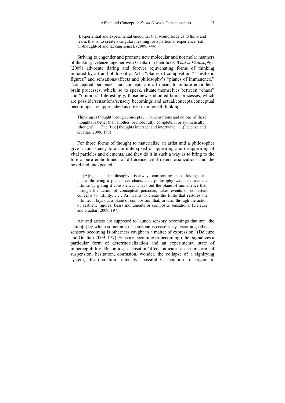[E]xperiential and experimental encounter that would force us to think and learn, that is, to create a singular meaning for a particular experience (still un-thought-of and lacking sense). (2009, 444)

Striving to engender and promote new molecular and not molar manners of thinking, Deleuze together with Guattari in their book *What is Philosophy?* (2009) advocate daring and forever rejuvenating forms of thinking initiated by art and philosophy. Art's "planes of composition," "aesthetic figures" and sensations/affects and philosophy's "planes of immanence," "conceptual personae" and concepts are all meant to initiate embodiedbrain processes, which, so to speak, situate themselves between "chaos" and "opinion." Interestingly, those new embodied-brain processes, which are possible/sensations/sensory becomings and actual/concepts/conceptual becomings, are approached as novel manners of thinking—

Thinking is thought through concepts . . . or sensations and no one of these thoughts is better than another, or more fully, completely, or synthetically 'thought' . . . The [two] thoughts intersect and intertwine . . . (Deleuze and Guattari 2009, 198)

For those forms of thought to materialize an artist and a philosopher give a consistency to an infinite speed of appearing and disappearing of vital particles and elements, and they do it in such a way as to bring to the fore a pure embodiment of difference, vital deterritorializations and the novel and unexpected.

— [A]rt, . . . and philosophy—is always confronting chaos, laying out a plane, throwing a plane over chaos. . . . philosophy wants to save the infinite by giving it consistency: it lays out the plane of immanence that, through the action of conceptual personae, takes events or consistent concepts to infinity. . . . Art wants to create the finite that restores the infinite: it lays out a plane of composition that, in turn, through the action of aesthetic figures, bears monuments or composite sensations. (Deleuze and Guattari 2009, 197)

Art and artists are supposed to launch sensory becomings that are "the action[s] by which something or someone is ceaselessly becoming-other. . . sensory becoming is otherness caught in a matter of expression" (Deleuze and Guattari 2009, 177). Sensory becoming or becoming-other signalizes a particular form of deterritorialization and an experimental state of imperceptibility. Becoming a sensation/affect indicates a certain form of suspension, hesitation, confusion, wonder, the collapse of a signifying system, disarticulation, intensity, possibility, irritation of organism,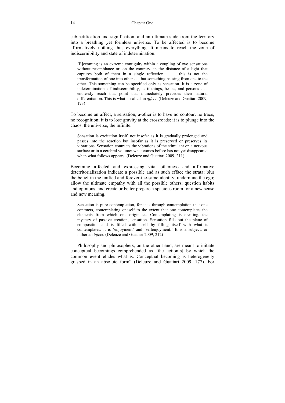subjectification and signification, and an ultimate slide from the territory into a breathing yet formless universe. To be affected is to become affirmatively nothing thus everything. It means to reach the zone of indiscernibility and state of indetermination.

[B]ecoming is an extreme contiguity within a coupling of two sensations without resemblance or, on the contrary, in the distance of a light that captures both of them in a single reflection. . . . this is not the transformation of one into other . . . but something passing from one to the other. This something can be specified only as sensation. It is a zone of indetermination, of indiscernibility, as if things, beasts, and persons . . . endlessly reach that point that immediately precedes their natural differentiation. This is what is called an *affect*. (Deleuze and Guattari 2009, 173)

To become an affect, a sensation, a-other is to have no contour, no trace, no recognition; it is to lose gravity at the crossroads; it is to plunge into the chaos, the universe, the infinite.

Sensation is excitation itself, not insofar as it is gradually prolonged and passes into the reaction but insofar as it is preserved or preserves its vibrations. Sensation contracts the vibrations of the stimulant on a nervous surface or in a cerebral volume: what comes before has not yet disappeared when what follows appears. (Deleuze and Guattari 2009, 211)

Becoming affected and expressing vital otherness and affirmative deterritorialization indicate a possible and as such efface the strata; blur the belief in the unified and forever-the-same identity; undermine the ego; allow the ultimate empathy with all the possible others; question habits and opinions, and create or better prepare a spacious room for a new sense and new meaning.

Sensation is pure contemplation, for it is through contemplation that one contracts, contemplating oneself to the extent that one contemplates the elements from which one originates. Contemplating is creating, the mystery of passive creation, sensation. Sensation fills out the plane of composition and is filled with itself by filling itself with what it contemplates: it is 'enjoyment' and 'selfenjoyment.' It is a subject, or rather an *inject*. (Deleuze and Guattari 2009, 212)

Philosophy and philosophers, on the other hand, are meant to initiate conceptual becomings comprehended as "the action[s] by which the common event eludes what is. Conceptual becoming is heterogeneity grasped in an absolute form" (Deleuze and Guattari 2009, 177). For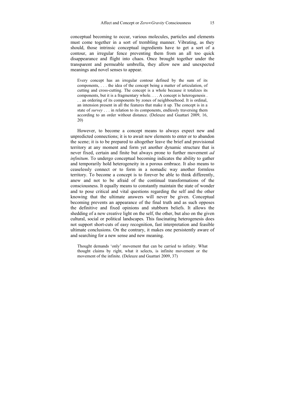conceptual becoming to occur, various molecules, particles and elements must come together in a sort of trembling manner. Vibrating, as they should, those intrinsic conceptual ingredients have to get a sort of a contour, an irregular fence preventing them from an all too quick disappearance and flight into chaos. Once brought together under the transparent and permeable umbrella, they allow new and unexpected meanings and novel senses to appear.

Every concept has an irregular contour defined by the sum of its components, . . . the idea of the concept being a matter of articulation, of cutting and cross-cutting. The concept is a whole because it totalizes its components, but it is a fragmentary whole. . . . A concept is heterogenesis . . . an ordering of its components by zones of neighbourhood. It is ordinal, an intension present in all the features that make it up. The concept is in a state of *survey* . . . in relation to its components, endlessly traversing them according to an order without distance. (Deleuze and Guattari 2009, 16, 20)

However, to become a concept means to always expect new and unpredicted connections; it is to await new elements to enter or to abandon the scene; it is to be prepared to altogether leave the brief and provisional territory at any moment and form yet another dynamic structure that is never fixed, certain and finite but always prone to further movement *ad infinitum*. To undergo conceptual becoming indicates the ability to gather and temporarily hold heterogeneity in a porous embrace. It also means to ceaselessly connect or to form in a nomadic way another formless territory. To become a concept is to forever be able to think differently, anew and not to be afraid of the continual transformations of the consciousness. It equally means to constantly maintain the state of wonder and to pose critical and vital questions regarding the self and the other knowing that the ultimate answers will never be given. Conceptual becoming prevents an appearance of the final truth and as such opposes the definitive and fixed opinions and stubborn beliefs. It allows the shedding of a new creative light on the self, the other, but also on the given cultural, social or political landscapes. This fascinating heterogenesis does not support short-cuts of easy recognition, fast interpretation and feasible ultimate conclusions. On the contrary, it makes one persistently aware of and searching for a new sense and new meaning.

Thought demands 'only' movement that can be carried to infinity. What thought claims by right, what it selects, is infinite movement or the movement of the infinite. (Deleuze and Guattari 2009, 37)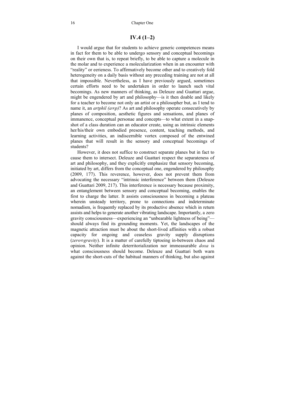### **IV.4 (1–2)**

I would argue that for students to achieve generic competences means in fact for them to be able to undergo sensory and conceptual becomings on their own that is, to repeat briefly, to be able to capture a molecule in the molar and to experience a molecularization when in an encounter with "reality" or eerieness. To affirmatively become other and to creatively fold heterogeneity on a daily basis without any preceding training are not at all that impossible. Nevertheless, as I have previously argued, sometimes certain efforts need to be undertaken in order to launch such vital becomings. As new manners of thinking, as Deleuze and Guattari argue, might be engendered by art and philosophy—is it then doable and likely for a teacher to become not only an artist or a philosopher but, as I tend to name it, an *artphil (a∞p)*? As art and philosophy operate consecutively by planes of composition, aesthetic figures and sensations, and planes of immanence, conceptual personae and concepts—to what extent in a snapshot of a class duration can an educator create, using as intrinsic elements her/his/their own embodied presence, content, teaching methods, and learning activities, an indiscernible vortex composed of the entwined planes that will result in the sensory and conceptual becomings of students?

However, it does not suffice to construct separate planes but in fact to cause them to intersect. Deleuze and Guattari respect the separateness of art and philosophy, and they explicitly emphasize that sensory becoming, initiated by art, differs from the conceptual one, engendered by philosophy (2009, 177). This reverence, however, does not prevent them from advocating the necessary "intrinsic interference" between them (Deleuze and Guattari 2009, 217). This interference is necessary because proximity, an entanglement between sensory and conceptual becoming, enables the first to charge the latter. It assists consciousness in becoming a plateau wherein unsteady territory, prone to connections and indeterminate nomadism, is frequently replaced by its productive absence which in return assists and helps to generate another vibrating landscape. Importantly, a zero gravity consciousness—experiencing an "unbearable lightness of being" should always find its grounding moments. Yet, the landscapes of the magnetic attraction must be about the short-lived affinities with a robust capacity for ongoing and ceaseless gravity supply disruptions (*zero∞gravity*). It is a matter of carefully tiptoeing in-between chaos and opinion. Neither infinite deterritorialization nor immeasurable *doxa* is what consciousness should become. Deleuze and Guattari both warn against the short-cuts of the habitual manners of thinking, but also against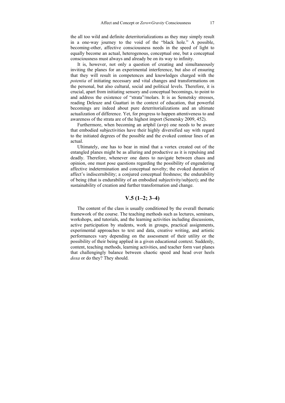the all too wild and definite deterritorializations as they may simply result in a one-way journey to the void of the "black hole." A possible, becoming-other, affective consciousness needs in the speed of light to equally become an actual, heterogenous, conceptual one, but a conceptual consciousness must always and already be on its way to infinity.

It is, however, not only a question of creating and simultaneously inviting the planes for an experimental interference, but also of ensuring that they will result in competences and knowledges charged with the *potentia* of initiating necessary and vital changes and transformations on the personal, but also cultural, social and political levels. Therefore, it is crucial, apart from initiating sensory and conceptual becomings, to point to and address the existence of "strata"/molars. It is as Semetsky stresses, reading Deleuze and Guattari in the context of education, that powerful becomings are indeed about pure deterritorializations and an ultimate actualization of difference. Yet, for progress to happen attentiveness to and awareness of the strata are of the highest import (Semetsky 2009, 452).

Furthermore, when becoming an artphil (a∞p) one needs to be aware that embodied subjectivities have their highly diversified say with regard to the initiated degrees of the possible and the evoked contour lines of an actual.

Ultimately, one has to bear in mind that a vortex created out of the entangled planes might be as alluring and productive as it is repulsing and deadly. Therefore, whenever one dares to navigate between chaos and opinion, one must pose questions regarding the possibility of engendering affective indetermination and conceptual novelty; the evoked duration of affect's indiscernibility; a conjured conceptual freshness; the endurability of being (that is endurability of an embodied subjectivity/subject); and the sustainability of creation and further transformation and change.

## **V.5 (1–2; 3–4)**

The content of the class is usually conditioned by the overall thematic framework of the course. The teaching methods such as lectures, seminars, workshops, and tutorials, and the learning activities including discussions, active participation by students, work in groups, practical assignments, experimental approaches to text and data, creative writing, and artistic performances vary depending on the assessment of their utility or the possibility of their being applied in a given educational context. Suddenly, content, teaching methods, learning activities, and teacher form vast planes that challengingly balance between chaotic speed and head over heels *doxa* or do they? They should.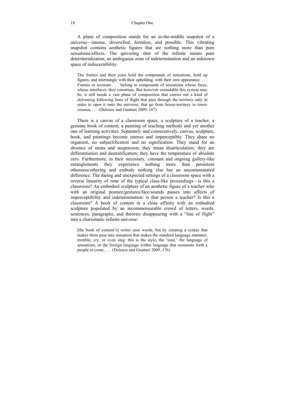18 Chapter One

A plane of composition stands for an in-the-middle snapshot of a universe—intense, diversified, formless, and possible. This vibrating snapshot contains aesthetic figures that are nothing more than pure sensations/affects. The quivering shot of the infinite means pure deterritorialization, an ambiguous zone of indetermination and an unknown space of indiscernibility.

The frames and their joins hold the compounds of sensations, hold up figures, and intermingle with their upholding, with their own appearance. . . . Frames or sections . . . belong to compounds of sensations whose faces, whose interfaces, they constitute. But however extendable this system may be, it still needs a vast plane of composition that carries out a kind of *deframing* following lines of flight that pass through the territory only in order to open it onto the universe, that go from house-territory to towncosmos, . . . (Deleuze and Guattari 2009, 187)

There is a canvas of a classroom space, a sculpture of a teacher, a genuine book of content, a painting of teaching methods and yet another one of learning activities. Separately and consecutively, canvas, sculpture, book, and paintings become intense and imperceptible. They share no organism, no subjectification and no signification. They stand for an absence of strata and suspension; they mean disarticulation; they are differentiation and destratification; they have the temperature of absolute zero. Furthermore, in their necessary, constant and ongoing gallery-like entanglements they experience nothing more than persistent otherness/othering and embody nothing else but an uncontaminated difference. The daring and unexpected settings of a classroom space with a reverse linearity of time of the typical class-like proceedings—is this a classroom? An embodied sculpture of an aesthetic figure of a teacher who with an original posture/gestures/face/sounds passes into affects of imperceptibility and indetermination: is that person a teacher? Is this a classroom? A book of content in a close affinity with an embodied sculpture populated by an incommensurable crowd of letters, words, sentences, paragraphs, and theories disappearing with a "line of flight" into a charismatic infinite universe:

[the book of content's] writer uses words, but by creating a syntax that makes them pass into sensation that makes the standard language stammer, tremble, cry, or even sing: this is the style, the 'tone,' the language of sensations, or the foreign language within language that summons forth a people to come, . . . (Deleuze and Guattari 2009, 176)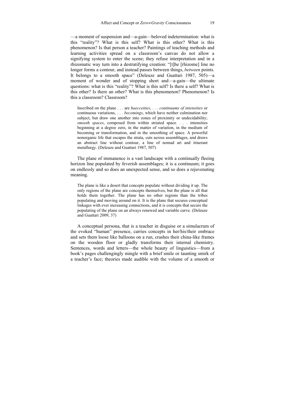—a moment of suspension and—a-gain—beloved indetermination: what is this "reality"? What is this self? What is this other? What is this phenomenon? Is that person a teacher? Paintings of teaching methods and learning activities spread on a classroom's canvas do not allow a signifying system to enter the scene; they refuse interpretation and in a rhizomatic way turn into a destratifying creation: "[t]he [rhizome] line no longer forms a contour, and instead passes between things, *between* points. It belongs to a smooth space" (Deleuze and Guattari 1987, 505)—a moment of wonder and of stopping short and—a-gain—the ultimate questions: what is this "reality"? What is this self? Is there a self? What is this other? Is there an other? What is this phenomenon? Phenomenon? Is this a classroom? Classroom?

Inscribed on the plane . . . are *haecceities*, . . . *continuums of intensities* or continuous variations, . . . *becomings*, which have neither culmination nor subject, but draw one another into zones of proximity or undecidability; *smooth spaces*, composed from within striated space. . . . intensities beginning at a degree zero, in the matter of variation, in the medium of becoming or transformation, and in the smoothing of space. A powerful nonorganic life that escapes the strata, cuts across assemblages, and draws an abstract line without contour, a line of nomad art and itinerant metallurgy. (Deleuze and Guattari 1987, 507)

The plane of immanence is a vast landscape with a continually fleeing horizon line populated by feverish assemblages; it is a continuum; it goes on endlessly and so does an unexpected sense, and so does a rejuvenating meaning.

The plane is like a desert that concepts populate without dividing it up. The only regions of the plane are concepts themselves, but the plane is all that holds them together. The plane has no other regions than the tribes populating and moving around on it. It is the plane that secures conceptual linkages with ever increasing connections, and it is concepts that secure the populating of the plane on an always renewed and variable curve. (Deleuze and Guattari 2009, 37)

A conceptual persona, that is a teacher in disguise or a simulacrum of the evoked "human" presence, carries concepts in her/his/their embrace and sets them loose like balloons on a run, crashes their china-like frames on the wooden floor or gladly transforms their internal chemistry. Sentences, words and letters—the whole beauty of linguistics—from a book's pages challengingly mingle with a brief smile or taunting smirk of a teacher's face; theories made audible with the volume of a smooth or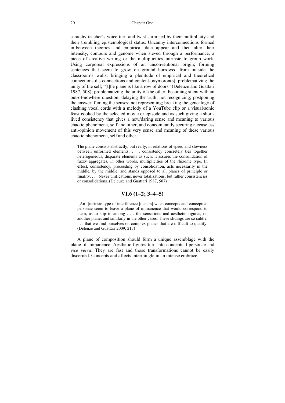scratchy teacher's voice turn and twist surprised by their multiplicity and their trembling epistemological status. Uncanny interconnections formed in-between theories and empirical data appear and then alter their intensity, contours and genome when sieved through a performance, a piece of creative writing or the multiplicities intrinsic to group work. Using corporeal expressions of an unconventional origin; forming sentences that seem to grow on ground borrowed from outside the classroom's walls; bringing a plenitude of empirical and theoretical connections-dis-connections and content-oxymoron(s); problematizing the unity of the self; "[t]he plane is like a row of doors" (Deleuze and Guattari 1987, 508); problematizing the unity of the other; becoming silent with an out-of-nowhere question; delaying the truth; not recognizing; postponing the answer; fuming the senses; not representing; breaking the genealogy of clashing vocal cords with a melody of a YouTube clip or a visual/sonic feast cooked by the selected movie or episode and as such giving a shortlived consistency that gives a new/daring sense and meaning to various chaotic phenomena, self and other, and concomitantly securing a ceaseless anti-opinion movement of this very sense and meaning of these various chaotic phenomena, self and other.

The plane consists abstractly, but really, in relations of speed and slowness between unformed elements, . . . consistency concretely ties together heterogeneous, disparate elements as such: it assures the consolidation of fuzzy aggregates, in other words, multiplicities of the rhizome type. In effect, consistency, proceeding by consolidation, acts necessarily in the middle, by the middle, and stands opposed to all planes of principle or finality. . . . Never unifications, never totalizations, but rather consistencies or consolidations. (Deleuze and Guattari 1987, 507)

 [An I]ntrinsic type of interference [occurs] when concepts and conceptual personae seem to leave a plane of immanence that would correspond to them, as to slip in among . . . the sensations and aesthetic figures, on another plane; and similarly in the other cases. These slidings are so subtle, . . . that we find ourselves on complex planes that are difficult to qualify. (Deleuze and Guattari 2009, 217)

A plane of composition should form a unique assemblage with the plane of immanence. Aesthetic figures turn into conceptual personae and *vice versa*. They are fast and those transformations cannot be easily discerned. Concepts and affects intermingle in an intense embrace.

**VI.6 (1–2; 3–4–5)**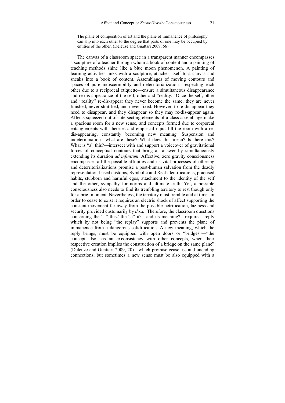The plane of composition of art and the plane of immanence of philosophy can slip into each other to the degree that parts of one may be occupied by entities of the other. (Deleuze and Guattari 2009, 66)

The canvas of a classroom space in a transparent manner encompasses a sculpture of a teacher through whom a book of content and a painting of teaching methods shine like a blue moon phenomenon. A painting of learning activities links with a sculpture; attaches itself to a canvas and sneaks into a book of content. Assemblages of moving contours and spaces of pure indiscernibility and deterritorialization—respecting each other due to a reciprocal etiquette—ensure a simultaneous disappearance and re-dis-appearance of the self, other and "reality." Once the self, other and "reality" re-dis-appear they never become the same; they are never finished; never-stratified, and never fixed. However, to re-dis-appear they need to disappear, and they disappear so they may re-dis-appear again. Affects squeezed out of intersecting elements of a class assemblage make a spacious room for a new sense, and concepts formed due to corporeal entanglements with theories and empirical input fill the room with a redis-appearing, constantly becoming new meaning. Suspension and indetermination—what are these? What does this mean? Is there this? What is "a" this?—intersect with and support a voiceover of gravitational forces of conceptual contours that bring an answer by simultaneously extending its duration *ad infinitum*. Affective, zero gravity consciousness encompasses all the possible affinities and its vital processes of othering and deterritorializations promise a post-human salvation from the deadly representation-based customs, Symbolic and Real identifications, practised habits, stubborn and harmful egos, attachment to the identity of the self and the other, sympathy for norms and ultimate truth. Yet, a possible consciousness also needs to find its trembling territory to rest though only for a brief moment. Nevertheless, the territory must tremble and at times in order to cease to exist it requires an electric shock of affect supporting the constant movement far away from the possible petrification, laziness and security provided customarily by *doxa*. Therefore, the classroom questions concerning the "a" this? the "a" it?—and its meaning?—require a reply which by not being "the replay" supports and prevents the plane of immanence from a dangerous solidification. A new meaning, which the reply brings, must be equipped with open doors or "bridges"—"the concept also has an exconsistency with other concepts, when their respective creation implies the construction of a bridge on the same plane" (Deleuze and Guattari 2009, 20)—which promise ceaseless and unending connections, but sometimes a new sense must be also equipped with a